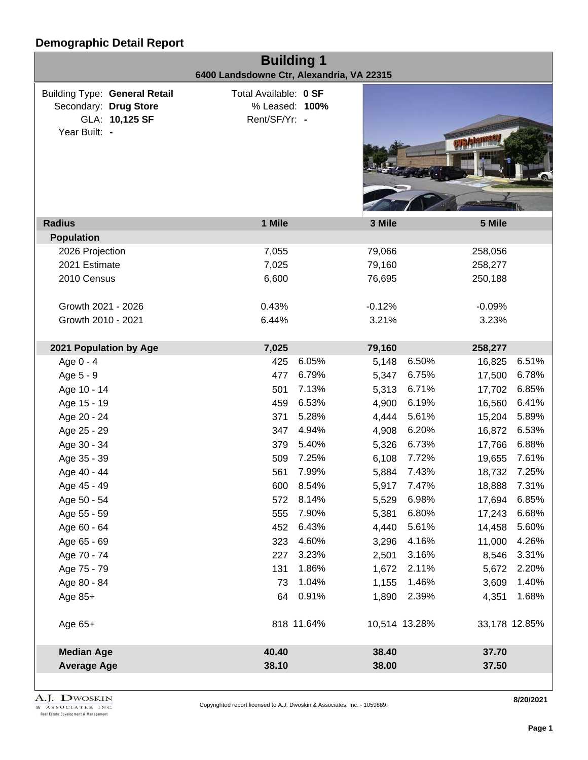| <b>Building 1</b><br>6400 Landsdowne Ctr, Alexandria, VA 22315                                   |                                                          |            |          |               |               |       |  |  |
|--------------------------------------------------------------------------------------------------|----------------------------------------------------------|------------|----------|---------------|---------------|-------|--|--|
| <b>Building Type: General Retail</b><br>Secondary: Drug Store<br>GLA: 10,125 SF<br>Year Built: - | Total Available: 0 SF<br>% Leased: 100%<br>Rent/SF/Yr: - |            |          |               |               |       |  |  |
| <b>Radius</b>                                                                                    | 1 Mile                                                   |            | 3 Mile   |               | 5 Mile        |       |  |  |
| <b>Population</b>                                                                                |                                                          |            |          |               |               |       |  |  |
| 2026 Projection                                                                                  | 7,055                                                    |            | 79,066   |               | 258,056       |       |  |  |
| 2021 Estimate                                                                                    | 7,025                                                    |            | 79,160   |               | 258,277       |       |  |  |
| 2010 Census                                                                                      | 6,600                                                    |            | 76,695   |               | 250,188       |       |  |  |
| Growth 2021 - 2026                                                                               | 0.43%                                                    |            | $-0.12%$ |               | $-0.09%$      |       |  |  |
| Growth 2010 - 2021                                                                               | 6.44%                                                    |            | 3.21%    |               | 3.23%         |       |  |  |
| 2021 Population by Age                                                                           | 7,025                                                    |            | 79,160   |               | 258,277       |       |  |  |
| Age 0 - 4                                                                                        | 425                                                      | 6.05%      | 5,148    | 6.50%         | 16,825        | 6.51% |  |  |
| Age 5 - 9                                                                                        | 477                                                      | 6.79%      | 5,347    | 6.75%         | 17,500        | 6.78% |  |  |
| Age 10 - 14                                                                                      | 501                                                      | 7.13%      | 5,313    | 6.71%         | 17,702        | 6.85% |  |  |
| Age 15 - 19                                                                                      | 459                                                      | 6.53%      | 4,900    | 6.19%         | 16,560        | 6.41% |  |  |
| Age 20 - 24                                                                                      | 371                                                      | 5.28%      | 4,444    | 5.61%         | 15,204        | 5.89% |  |  |
| Age 25 - 29                                                                                      | 347                                                      | 4.94%      | 4,908    | 6.20%         | 16,872        | 6.53% |  |  |
| Age 30 - 34                                                                                      | 379                                                      | 5.40%      | 5,326    | 6.73%         | 17,766        | 6.88% |  |  |
| Age 35 - 39                                                                                      | 509                                                      | 7.25%      | 6,108    | 7.72%         | 19,655        | 7.61% |  |  |
| Age 40 - 44                                                                                      | 561                                                      | 7.99%      | 5,884    | 7.43%         | 18,732 7.25%  |       |  |  |
| Age 45 - 49                                                                                      | 600                                                      | 8.54%      | 5,917    | 7.47%         | 18,888        | 7.31% |  |  |
| Age 50 - 54                                                                                      | 572                                                      | 8.14%      | 5,529    | 6.98%         | 17,694        | 6.85% |  |  |
| Age 55 - 59                                                                                      | 555                                                      | 7.90%      | 5,381    | 6.80%         | 17,243        | 6.68% |  |  |
| Age 60 - 64                                                                                      | 452                                                      | 6.43%      | 4,440    | 5.61%         | 14,458        | 5.60% |  |  |
| Age 65 - 69                                                                                      | 323                                                      | 4.60%      | 3,296    | 4.16%         | 11,000        | 4.26% |  |  |
| Age 70 - 74                                                                                      | 227                                                      | 3.23%      | 2,501    | 3.16%         | 8,546         | 3.31% |  |  |
| Age 75 - 79                                                                                      | 131                                                      | 1.86%      | 1,672    | 2.11%         | 5,672         | 2.20% |  |  |
| Age 80 - 84                                                                                      | 73                                                       | 1.04%      | 1,155    | 1.46%         | 3,609         | 1.40% |  |  |
| Age 85+                                                                                          | 64                                                       | 0.91%      | 1,890    | 2.39%         | 4,351         | 1.68% |  |  |
| Age 65+                                                                                          |                                                          | 818 11.64% |          | 10,514 13.28% | 33,178 12.85% |       |  |  |
| <b>Median Age</b>                                                                                | 40.40                                                    |            | 38.40    |               | 37.70         |       |  |  |
| <b>Average Age</b>                                                                               | 38.10                                                    |            | 38.00    |               | 37.50         |       |  |  |
|                                                                                                  |                                                          |            |          |               |               |       |  |  |

**8/20/2021**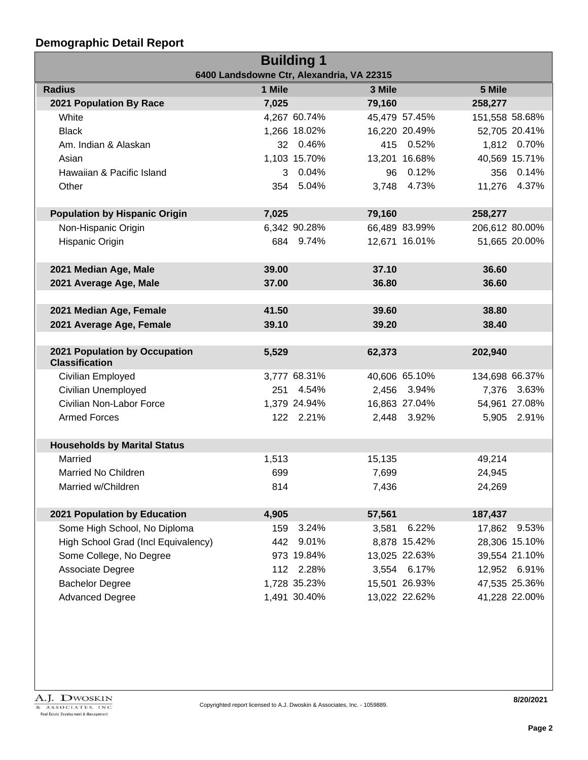| <b>Building 1</b>                           |       |              |        |               |                |               |  |
|---------------------------------------------|-------|--------------|--------|---------------|----------------|---------------|--|
| 6400 Landsdowne Ctr, Alexandria, VA 22315   |       |              |        |               |                |               |  |
| 1 Mile<br>5 Mile<br><b>Radius</b><br>3 Mile |       |              |        |               |                |               |  |
| 2021 Population By Race                     | 7,025 |              | 79,160 |               | 258,277        |               |  |
| White                                       |       | 4,267 60.74% |        | 45,479 57.45% | 151,558 58.68% |               |  |
| <b>Black</b>                                |       | 1,266 18.02% |        | 16,220 20.49% |                | 52,705 20.41% |  |
| Am. Indian & Alaskan                        |       | 32 0.46%     |        | 415 0.52%     |                | 1,812 0.70%   |  |
| Asian                                       |       | 1,103 15.70% |        | 13,201 16.68% |                | 40,569 15.71% |  |
| Hawaiian & Pacific Island                   |       | 3 0.04%      |        | 96 0.12%      |                | 356 0.14%     |  |
| Other                                       |       | 354 5.04%    |        | 3,748 4.73%   |                | 11,276 4.37%  |  |
|                                             |       |              |        |               |                |               |  |
| <b>Population by Hispanic Origin</b>        | 7,025 |              | 79,160 |               | 258,277        |               |  |
| Non-Hispanic Origin                         |       | 6,342 90.28% |        | 66,489 83.99% | 206,612 80.00% |               |  |
| Hispanic Origin                             |       | 684 9.74%    |        | 12,671 16.01% |                | 51,665 20.00% |  |
|                                             |       |              |        |               |                |               |  |
| 2021 Median Age, Male                       | 39.00 |              | 37.10  |               | 36.60          |               |  |
| 2021 Average Age, Male                      | 37.00 |              | 36.80  |               | 36.60          |               |  |
|                                             |       |              |        |               |                |               |  |
| 2021 Median Age, Female                     | 41.50 |              | 39.60  |               | 38.80          |               |  |
| 2021 Average Age, Female                    | 39.10 |              | 39.20  |               | 38.40          |               |  |
|                                             |       |              |        |               |                |               |  |
| 2021 Population by Occupation               | 5,529 |              | 62,373 |               | 202,940        |               |  |
| <b>Classification</b>                       |       |              |        |               |                |               |  |
| Civilian Employed                           |       | 3,777 68.31% |        | 40,606 65.10% | 134,698 66.37% |               |  |
| Civilian Unemployed                         |       | 251 4.54%    |        | 2,456 3.94%   |                | 7,376 3.63%   |  |
| Civilian Non-Labor Force                    |       | 1,379 24.94% |        | 16,863 27.04% |                | 54,961 27.08% |  |
| <b>Armed Forces</b>                         |       | 122 2.21%    |        | 2,448 3.92%   |                | 5,905 2.91%   |  |
|                                             |       |              |        |               |                |               |  |
| <b>Households by Marital Status</b>         |       |              |        |               |                |               |  |
| Married                                     | 1,513 |              | 15,135 |               | 49,214         |               |  |
| Married No Children                         | 699   |              | 7,699  |               | 24,945         |               |  |
| Married w/Children                          | 814   |              | 7,436  |               | 24,269         |               |  |
|                                             |       |              |        |               |                |               |  |
| 2021 Population by Education                | 4,905 |              | 57,561 |               | 187,437        |               |  |
| Some High School, No Diploma                | 159   | 3.24%        | 3,581  | 6.22%         | 17,862         | 9.53%         |  |
| High School Grad (Incl Equivalency)         | 442   | 9.01%        |        | 8,878 15.42%  |                | 28,306 15.10% |  |
| Some College, No Degree                     |       | 973 19.84%   |        | 13,025 22.63% |                | 39,554 21.10% |  |
| Associate Degree                            |       | 112 2.28%    |        | 3,554 6.17%   |                | 12,952 6.91%  |  |
| <b>Bachelor Degree</b>                      |       | 1,728 35.23% |        | 15,501 26.93% |                | 47,535 25.36% |  |
| <b>Advanced Degree</b>                      |       | 1,491 30.40% |        | 13,022 22.62% |                | 41,228 22.00% |  |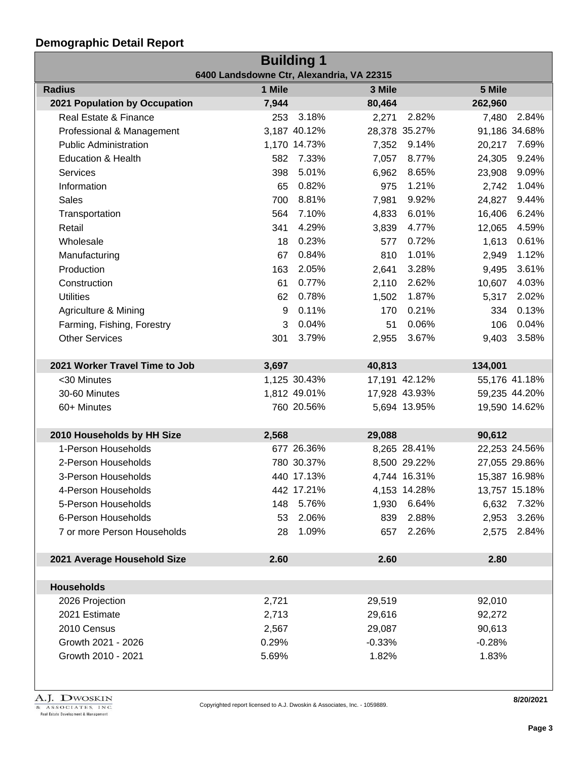| <b>Building 1</b>                         |        |              |          |               |          |               |  |
|-------------------------------------------|--------|--------------|----------|---------------|----------|---------------|--|
| 6400 Landsdowne Ctr, Alexandria, VA 22315 |        |              |          |               |          |               |  |
| <b>Radius</b>                             | 1 Mile |              | 3 Mile   |               | 5 Mile   |               |  |
| 2021 Population by Occupation             | 7,944  |              | 80,464   |               | 262,960  |               |  |
| Real Estate & Finance                     | 253    | 3.18%        | 2,271    | 2.82%         | 7,480    | 2.84%         |  |
| Professional & Management                 |        | 3,187 40.12% |          | 28,378 35.27% |          | 91,186 34.68% |  |
| <b>Public Administration</b>              |        | 1,170 14.73% | 7,352    | 9.14%         | 20,217   | 7.69%         |  |
| <b>Education &amp; Health</b>             | 582    | 7.33%        | 7,057    | 8.77%         | 24,305   | 9.24%         |  |
| Services                                  | 398    | 5.01%        | 6,962    | 8.65%         | 23,908   | 9.09%         |  |
| Information                               | 65     | 0.82%        | 975      | 1.21%         | 2,742    | 1.04%         |  |
| <b>Sales</b>                              | 700    | 8.81%        | 7,981    | 9.92%         | 24,827   | 9.44%         |  |
| Transportation                            | 564    | 7.10%        | 4,833    | 6.01%         | 16,406   | 6.24%         |  |
| Retail                                    | 341    | 4.29%        | 3,839    | 4.77%         | 12,065   | 4.59%         |  |
| Wholesale                                 | 18     | 0.23%        | 577      | 0.72%         | 1,613    | 0.61%         |  |
| Manufacturing                             | 67     | 0.84%        | 810      | 1.01%         | 2,949    | 1.12%         |  |
| Production                                | 163    | 2.05%        | 2,641    | 3.28%         | 9,495    | 3.61%         |  |
| Construction                              | 61     | 0.77%        | 2,110    | 2.62%         | 10,607   | 4.03%         |  |
| <b>Utilities</b>                          | 62     | 0.78%        | 1,502    | 1.87%         | 5,317    | 2.02%         |  |
| Agriculture & Mining                      | 9      | 0.11%        | 170      | 0.21%         | 334      | 0.13%         |  |
| Farming, Fishing, Forestry                | 3      | 0.04%        | 51       | 0.06%         | 106      | 0.04%         |  |
| <b>Other Services</b>                     | 301    | 3.79%        | 2,955    | 3.67%         | 9,403    | 3.58%         |  |
|                                           |        |              |          |               |          |               |  |
| 2021 Worker Travel Time to Job            | 3,697  |              | 40,813   |               | 134,001  |               |  |
| <30 Minutes                               |        | 1,125 30.43% |          | 17,191 42.12% |          | 55,176 41.18% |  |
| 30-60 Minutes                             |        | 1,812 49.01% |          | 17,928 43.93% |          | 59,235 44.20% |  |
| 60+ Minutes                               |        | 760 20.56%   |          | 5,694 13.95%  |          | 19,590 14.62% |  |
|                                           |        |              |          |               |          |               |  |
| 2010 Households by HH Size                | 2,568  |              | 29,088   |               | 90,612   |               |  |
| 1-Person Households                       |        | 677 26.36%   |          | 8,265 28.41%  |          | 22,253 24.56% |  |
| 2-Person Households                       |        | 780 30.37%   |          | 8,500 29.22%  |          | 27,055 29.86% |  |
| 3-Person Households                       |        | 440 17.13%   |          | 4,744 16.31%  |          | 15,387 16.98% |  |
| 4-Person Households                       |        | 442 17.21%   |          | 4,153 14.28%  |          | 13,757 15.18% |  |
| 5-Person Households                       | 148    | 5.76%        | 1,930    | 6.64%         | 6,632    | 7.32%         |  |
| 6-Person Households                       | 53     | 2.06%        | 839      | 2.88%         | 2,953    | 3.26%         |  |
| 7 or more Person Households               | 28     | 1.09%        | 657      | 2.26%         | 2,575    | 2.84%         |  |
|                                           |        |              |          |               |          |               |  |
| 2021 Average Household Size               | 2.60   |              | 2.60     |               | 2.80     |               |  |
|                                           |        |              |          |               |          |               |  |
| <b>Households</b>                         |        |              |          |               |          |               |  |
| 2026 Projection                           | 2,721  |              | 29,519   |               | 92,010   |               |  |
| 2021 Estimate                             | 2,713  |              | 29,616   |               | 92,272   |               |  |
| 2010 Census                               | 2,567  |              | 29,087   |               | 90,613   |               |  |
| Growth 2021 - 2026                        | 0.29%  |              | $-0.33%$ |               | $-0.28%$ |               |  |
| Growth 2010 - 2021                        | 5.69%  |              | 1.82%    |               | 1.83%    |               |  |
|                                           |        |              |          |               |          |               |  |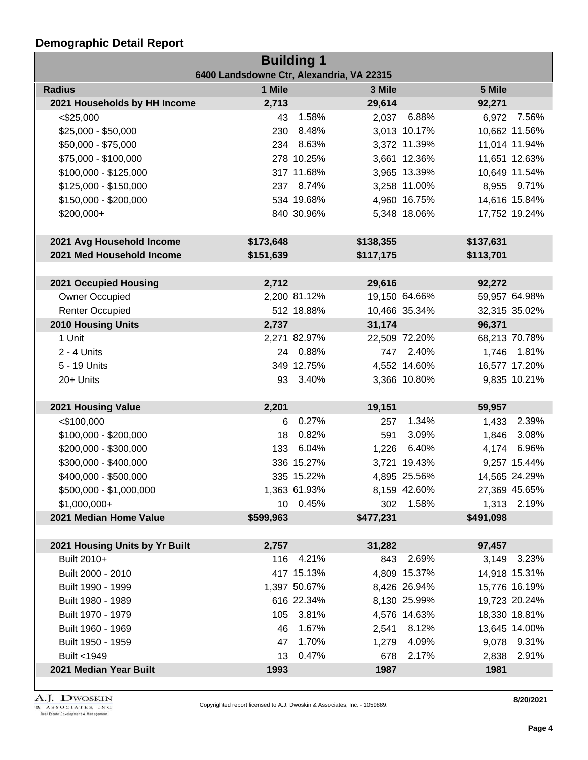| <b>Building 1</b>                         |           |              |           |               |           |               |  |
|-------------------------------------------|-----------|--------------|-----------|---------------|-----------|---------------|--|
| 6400 Landsdowne Ctr, Alexandria, VA 22315 |           |              |           |               |           |               |  |
| <b>Radius</b>                             | 1 Mile    |              | 3 Mile    |               | 5 Mile    |               |  |
| 2021 Households by HH Income              | 2,713     |              | 29,614    |               | 92,271    |               |  |
| $<$ \$25,000                              | 43        | 1.58%        | 2,037     | 6.88%         |           | 6,972 7.56%   |  |
| \$25,000 - \$50,000                       | 230       | 8.48%        |           | 3,013 10.17%  |           | 10,662 11.56% |  |
| \$50,000 - \$75,000                       |           | 234 8.63%    |           | 3,372 11.39%  |           | 11,014 11.94% |  |
| \$75,000 - \$100,000                      |           | 278 10.25%   |           | 3,661 12.36%  |           | 11,651 12.63% |  |
| \$100,000 - \$125,000                     |           | 317 11.68%   |           | 3,965 13.39%  |           | 10,649 11.54% |  |
| \$125,000 - \$150,000                     |           | 237 8.74%    |           | 3,258 11.00%  |           | 8,955 9.71%   |  |
| \$150,000 - \$200,000                     |           | 534 19.68%   |           | 4,960 16.75%  |           | 14,616 15.84% |  |
| \$200,000+                                |           | 840 30.96%   |           | 5,348 18.06%  |           | 17,752 19.24% |  |
|                                           |           |              |           |               |           |               |  |
| 2021 Avg Household Income                 | \$173,648 |              | \$138,355 |               | \$137,631 |               |  |
| 2021 Med Household Income                 | \$151,639 |              | \$117,175 |               | \$113,701 |               |  |
| 2021 Occupied Housing                     | 2,712     |              | 29,616    |               | 92,272    |               |  |
| Owner Occupied                            |           | 2,200 81.12% |           | 19,150 64.66% |           | 59,957 64.98% |  |
| <b>Renter Occupied</b>                    |           | 512 18.88%   |           |               |           | 32,315 35.02% |  |
|                                           |           |              |           | 10,466 35.34% |           |               |  |
| <b>2010 Housing Units</b>                 | 2,737     |              | 31,174    |               | 96,371    |               |  |
| 1 Unit                                    |           | 2,271 82.97% |           | 22,509 72.20% |           | 68,213 70.78% |  |
| $2 - 4$ Units                             |           | 24 0.88%     |           | 747 2.40%     |           | 1,746 1.81%   |  |
| 5 - 19 Units                              |           | 349 12.75%   |           | 4,552 14.60%  |           | 16,577 17.20% |  |
| 20+ Units                                 |           | 93 3.40%     |           | 3,366 10.80%  |           | 9,835 10.21%  |  |
| 2021 Housing Value                        | 2,201     |              | 19,151    |               | 59,957    |               |  |
| $<$ \$100,000                             | 6         | 0.27%        | 257       | 1.34%         |           | 1,433 2.39%   |  |
| $$100,000 - $200,000$                     | 18        | 0.82%        | 591       | 3.09%         | 1,846     | 3.08%         |  |
| \$200,000 - \$300,000                     | 133       | 6.04%        |           | 1,226 6.40%   |           | 4,174 6.96%   |  |
| \$300,000 - \$400,000                     |           | 336 15.27%   |           | 3,721 19.43%  |           | 9,257 15.44%  |  |
| \$400,000 - \$500,000                     |           | 335 15.22%   |           | 4,895 25.56%  |           | 14,565 24.29% |  |
| \$500,000 - \$1,000,000                   |           | 1,363 61.93% |           | 8,159 42.60%  |           | 27,369 45.65% |  |
| $$1,000,000+$                             |           | 10 0.45%     |           | 302 1.58%     |           | 1,313 2.19%   |  |
| 2021 Median Home Value                    | \$599,963 |              | \$477,231 |               | \$491,098 |               |  |
|                                           |           |              |           |               |           |               |  |
| 2021 Housing Units by Yr Built            | 2,757     |              | 31,282    |               | 97,457    |               |  |
| Built 2010+                               | 116       | 4.21%        | 843       | 2.69%         |           | 3,149 3.23%   |  |
| Built 2000 - 2010                         |           | 417 15.13%   |           | 4,809 15.37%  |           | 14,918 15.31% |  |
| Built 1990 - 1999                         |           | 1,397 50.67% |           | 8,426 26.94%  |           | 15,776 16.19% |  |
| Built 1980 - 1989                         |           | 616 22.34%   |           | 8,130 25.99%  |           | 19,723 20.24% |  |
| Built 1970 - 1979                         | 105       | 3.81%        |           | 4,576 14.63%  |           | 18,330 18.81% |  |
| Built 1960 - 1969                         | 46        | 1.67%        |           | 2,541 8.12%   |           | 13,645 14.00% |  |
| Built 1950 - 1959                         | 47        | 1.70%        | 1,279     | 4.09%         |           | 9,078 9.31%   |  |
| Built <1949                               | 13        | 0.47%        | 678       | 2.17%         |           | 2,838 2.91%   |  |
| 2021 Median Year Built                    | 1993      |              | 1987      |               | 1981      |               |  |
|                                           |           |              |           |               |           |               |  |

A.J. DWOSKIN REAL ASSOCIATES, INC.<br>Real Estate Development & Management

**8/20/2021**